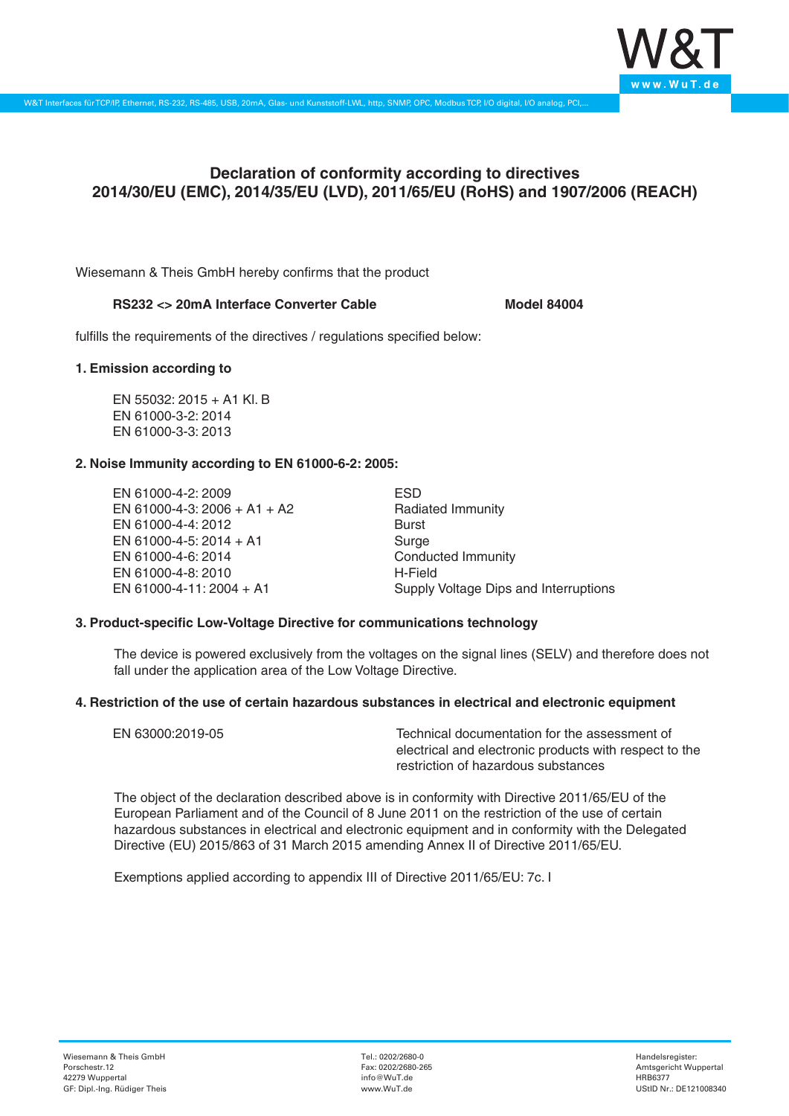

# **Declaration of conformity according to directives 2014/30/EU (EMC), 2014/35/EU (LVD), 2011/65/EU (RoHS) and 1907/2006 (REACH)**

Wiesemann & Theis GmbH hereby confirms that the product

# RS232 <> 20mA Interface Converter Cable **Model 84004**

fulfills the requirements of the directives / regulations specified below:

#### **1. Emission according to**

EN 55032: 2015 + A1 Kl. B EN 61000-3-2: 2014 EN 61000-3-3: 2013

# **2. Noise Immunity according to EN 61000-6-2: 2005:**

EN 61000-4-2: 2009 EN 61000-4-3: 2006 + A1 + A2 EN 61000-4-4: 2012 EN 61000-4-5: 2014 + A1 EN 61000-4-6: 2014 EN 61000-4-8: 2010 EN 61000-4-11: 2004 + A1

ESD Radiated Immunity Burst Surge Conducted Immunity H-Field Supply Voltage Dips and Interruptions

# **3. Product-specific Low-Voltage Directive for communications technology**

The device is powered exclusively from the voltages on the signal lines (SELV) and therefore does not fall under the application area of the Low Voltage Directive.

#### **4. Restriction of the use of certain hazardous substances in electrical and electronic equipment**

| EN 63000:2019-05 | Technical documentation for the assessment of          |
|------------------|--------------------------------------------------------|
|                  | electrical and electronic products with respect to the |
|                  | restriction of hazardous substances                    |

The object of the declaration described above is in conformity with Directive 2011/65/EU of the European Parliament and of the Council of 8 June 2011 on the restriction of the use of certain hazardous substances in electrical and electronic equipment and in conformity with the Delegated Directive (EU) 2015/863 of 31 March 2015 amending Annex II of Directive 2011/65/EU.

Exemptions applied according to appendix III of Directive 2011/65/EU: 7c. I